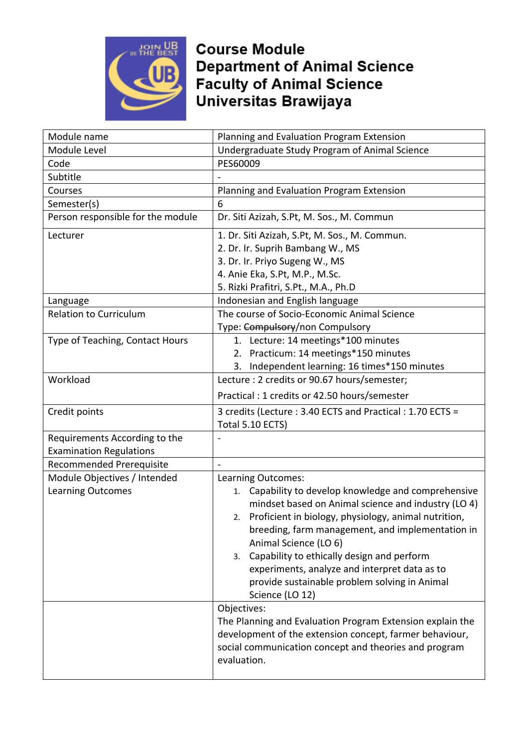

**Course Module Department of Animal Science** Faculty of Animal Science<br>Universitas Brawijaya

| Module name                                              | Planning and Evaluation Program Extension                                                                                                                                                                                                                                                                                                                                                                                                                |
|----------------------------------------------------------|----------------------------------------------------------------------------------------------------------------------------------------------------------------------------------------------------------------------------------------------------------------------------------------------------------------------------------------------------------------------------------------------------------------------------------------------------------|
| Module Level                                             | Undergraduate Study Program of Animal Science                                                                                                                                                                                                                                                                                                                                                                                                            |
| Code                                                     | PES60009                                                                                                                                                                                                                                                                                                                                                                                                                                                 |
| Subtitle                                                 |                                                                                                                                                                                                                                                                                                                                                                                                                                                          |
| Courses                                                  | Planning and Evaluation Program Extension                                                                                                                                                                                                                                                                                                                                                                                                                |
| Semester(s)                                              | 6                                                                                                                                                                                                                                                                                                                                                                                                                                                        |
| Person responsible for the module                        | Dr. Siti Azizah, S.Pt, M. Sos., M. Commun                                                                                                                                                                                                                                                                                                                                                                                                                |
| Lecturer                                                 | 1. Dr. Siti Azizah, S.Pt, M. Sos., M. Commun.<br>2. Dr. Ir. Suprih Bambang W., MS<br>3. Dr. Ir. Priyo Sugeng W., MS<br>4. Anie Eka, S.Pt, M.P., M.Sc.<br>5. Rizki Prafitri, S.Pt., M.A., Ph.D                                                                                                                                                                                                                                                            |
| Language                                                 | Indonesian and English language                                                                                                                                                                                                                                                                                                                                                                                                                          |
| <b>Relation to Curriculum</b>                            | The course of Socio-Economic Animal Science<br>Type: Compulsory/non Compulsory                                                                                                                                                                                                                                                                                                                                                                           |
| Type of Teaching, Contact Hours                          | 1. Lecture: 14 meetings*100 minutes<br>2. Practicum: 14 meetings*150 minutes<br>3. Independent learning: 16 times*150 minutes                                                                                                                                                                                                                                                                                                                            |
| Workload                                                 | Lecture : 2 credits or 90.67 hours/semester;<br>Practical: 1 credits or 42.50 hours/semester                                                                                                                                                                                                                                                                                                                                                             |
| Credit points                                            | 3 credits (Lecture : 3.40 ECTS and Practical : 1.70 ECTS =<br>Total 5.10 ECTS)                                                                                                                                                                                                                                                                                                                                                                           |
| Requirements According to the                            |                                                                                                                                                                                                                                                                                                                                                                                                                                                          |
| <b>Examination Regulations</b>                           |                                                                                                                                                                                                                                                                                                                                                                                                                                                          |
| Recommended Prerequisite                                 | $\overline{a}$                                                                                                                                                                                                                                                                                                                                                                                                                                           |
| Module Objectives / Intended<br><b>Learning Outcomes</b> | Learning Outcomes:<br>Capability to develop knowledge and comprehensive<br>1.<br>mindset based on Animal science and industry (LO 4)<br>Proficient in biology, physiology, animal nutrition,<br>2.<br>breeding, farm management, and implementation in<br>Animal Science (LO 6)<br>Capability to ethically design and perform<br>3.<br>experiments, analyze and interpret data as to<br>provide sustainable problem solving in Animal<br>Science (LO 12) |
|                                                          | Objectives:<br>The Planning and Evaluation Program Extension explain the<br>development of the extension concept, farmer behaviour,<br>social communication concept and theories and program<br>evaluation.                                                                                                                                                                                                                                              |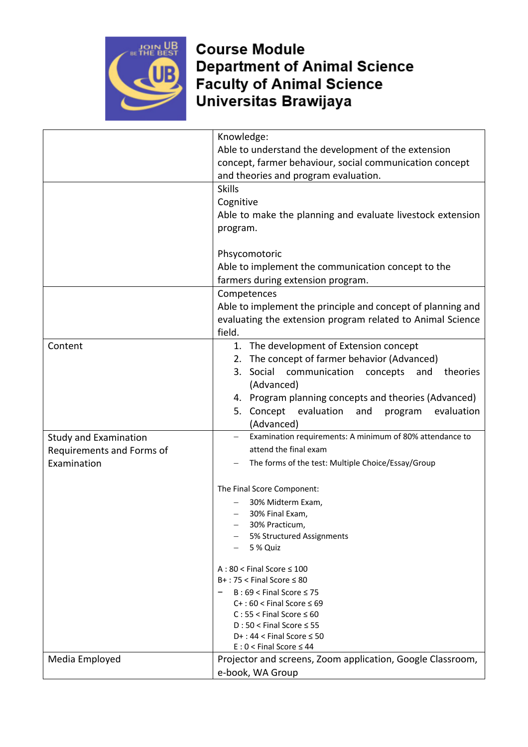

## **Course Module Department of Animal Science Faculty of Animal Science**<br>Universitas Brawijaya

|                              | Knowledge:                                                          |
|------------------------------|---------------------------------------------------------------------|
|                              | Able to understand the development of the extension                 |
|                              | concept, farmer behaviour, social communication concept             |
|                              | and theories and program evaluation.                                |
|                              | <b>Skills</b>                                                       |
|                              | Cognitive                                                           |
|                              | Able to make the planning and evaluate livestock extension          |
|                              | program.                                                            |
|                              |                                                                     |
|                              | Phsycomotoric                                                       |
|                              | Able to implement the communication concept to the                  |
|                              | farmers during extension program.                                   |
|                              | Competences                                                         |
|                              | Able to implement the principle and concept of planning and         |
|                              | evaluating the extension program related to Animal Science          |
|                              | field.                                                              |
| Content                      | 1. The development of Extension concept                             |
|                              | 2. The concept of farmer behavior (Advanced)                        |
|                              | 3. Social<br>communication<br>concepts<br>theories<br>and           |
|                              | (Advanced)                                                          |
|                              | 4. Program planning concepts and theories (Advanced)                |
|                              | 5. Concept evaluation<br>evaluation<br>and<br>program               |
|                              | (Advanced)                                                          |
| <b>Study and Examination</b> | Examination requirements: A minimum of 80% attendance to            |
| Requirements and Forms of    | attend the final exam                                               |
| Examination                  | The forms of the test: Multiple Choice/Essay/Group                  |
|                              |                                                                     |
|                              | The Final Score Component:                                          |
|                              | 30% Midterm Exam,                                                   |
|                              | 30% Final Exam,<br>30% Practicum,                                   |
|                              | 5% Structured Assignments                                           |
|                              | 5 % Quiz                                                            |
|                              |                                                                     |
|                              | $A:80 <$ Final Score $\leq 100$                                     |
|                              | $B+$ : 75 < Final Score $\leq 80$                                   |
|                              | $B:69 <$ Final Score $\leq 75$<br>$C+$ : 60 < Final Score $\leq 69$ |
|                              | $C: 55 <$ Final Score $\leq 60$                                     |
|                              | $D:50 <$ Final Score $\leq 55$                                      |
|                              | D+: $44 <$ Final Score $\leq 50$                                    |
|                              | $E: 0 <$ Final Score $\leq 44$                                      |
| Media Employed               | Projector and screens, Zoom application, Google Classroom,          |
|                              | e-book, WA Group                                                    |